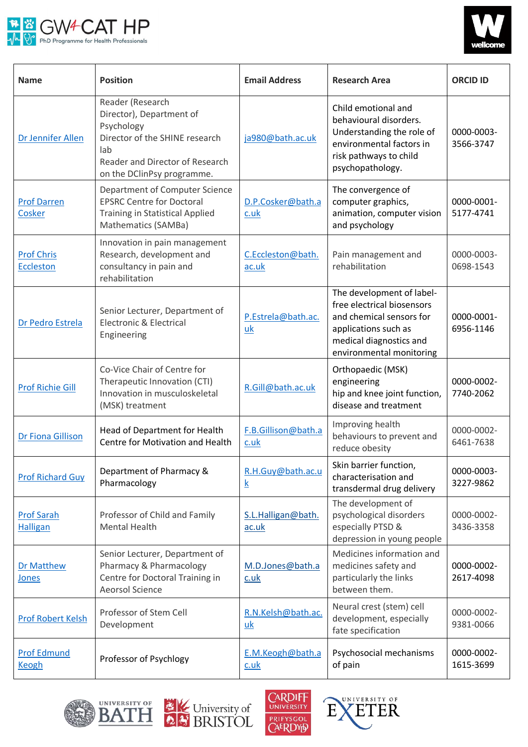



| <b>Name</b>                           | <b>Position</b>                                                                                                                                                      | <b>Email Address</b>         | <b>Research Area</b>                                                                                                                                               | <b>ORCID ID</b>         |
|---------------------------------------|----------------------------------------------------------------------------------------------------------------------------------------------------------------------|------------------------------|--------------------------------------------------------------------------------------------------------------------------------------------------------------------|-------------------------|
| Dr Jennifer Allen                     | Reader (Research<br>Director), Department of<br>Psychology<br>Director of the SHINE research<br>lab<br>Reader and Director of Research<br>on the DClinPsy programme. | ja980@bath.ac.uk             | Child emotional and<br>behavioural disorders.<br>Understanding the role of<br>environmental factors in<br>risk pathways to child<br>psychopathology.               | 0000-0003-<br>3566-3747 |
| <b>Prof Darren</b><br>Cosker          | Department of Computer Science<br><b>EPSRC Centre for Doctoral</b><br><b>Training in Statistical Applied</b><br>Mathematics (SAMBa)                                  | D.P.Cosker@bath.a<br>$c.$ uk | The convergence of<br>computer graphics,<br>animation, computer vision<br>and psychology                                                                           | 0000-0001-<br>5177-4741 |
| <b>Prof Chris</b><br><b>Eccleston</b> | Innovation in pain management<br>Research, development and<br>consultancy in pain and<br>rehabilitation                                                              | C.Eccleston@bath.<br>ac.uk   | Pain management and<br>rehabilitation                                                                                                                              | 0000-0003-<br>0698-1543 |
| Dr Pedro Estrela                      | Senior Lecturer, Department of<br><b>Electronic &amp; Electrical</b><br>Engineering                                                                                  | P.Estrela@bath.ac.<br>uk     | The development of label-<br>free electrical biosensors<br>and chemical sensors for<br>applications such as<br>medical diagnostics and<br>environmental monitoring | 0000-0001-<br>6956-1146 |
| <b>Prof Richie Gill</b>               | Co-Vice Chair of Centre for<br>Therapeutic Innovation (CTI)<br>Innovation in musculoskeletal<br>(MSK) treatment                                                      | R.Gill@bath.ac.uk            | Orthopaedic (MSK)<br>engineering<br>hip and knee joint function,<br>disease and treatment                                                                          | 0000-0002-<br>7740-2062 |
| Dr Fiona Gillison                     | Head of Department for Health<br>Centre for Motivation and Health                                                                                                    | F.B.Gillison@bath.a<br>c.uk  | Improving health<br>behaviours to prevent and<br>reduce obesity                                                                                                    | 0000-0002-<br>6461-7638 |
| <b>Prof Richard Guy</b>               | Department of Pharmacy &<br>Pharmacology                                                                                                                             | R.H.Guy@bath.ac.u<br>k       | Skin barrier function,<br>characterisation and<br>transdermal drug delivery                                                                                        | 0000-0003-<br>3227-9862 |
| <b>Prof Sarah</b><br><b>Halligan</b>  | Professor of Child and Family<br><b>Mental Health</b>                                                                                                                | S.L.Halligan@bath.<br>ac.uk  | The development of<br>psychological disorders<br>especially PTSD &<br>depression in young people                                                                   | 0000-0002-<br>3436-3358 |
| <b>Dr Matthew</b><br>Jones            | Senior Lecturer, Department of<br>Pharmacy & Pharmacology<br>Centre for Doctoral Training in<br><b>Aeorsol Science</b>                                               | M.D.Jones@bath.a<br>c.uk     | Medicines information and<br>medicines safety and<br>particularly the links<br>between them.                                                                       | 0000-0002-<br>2617-4098 |
| <b>Prof Robert Kelsh</b>              | Professor of Stem Cell<br>Development                                                                                                                                | R.N.Kelsh@bath.ac.<br>uk     | Neural crest (stem) cell<br>development, especially<br>fate specification                                                                                          | 0000-0002-<br>9381-0066 |
| <b>Prof Edmund</b><br><b>Keogh</b>    | Professor of Psychlogy                                                                                                                                               | E.M.Keogh@bath.a<br>c.uk     | Psychosocial mechanisms<br>of pain                                                                                                                                 | 0000-0002-<br>1615-3699 |







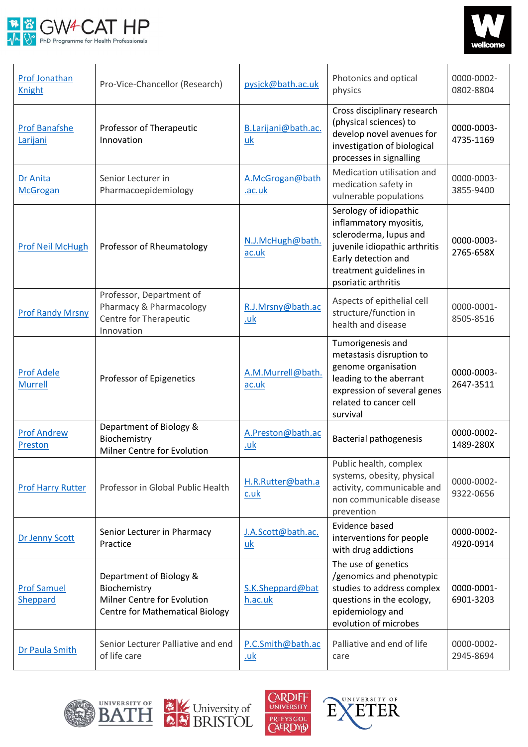



| Prof Jonathan<br><b>Knight</b>      | Pro-Vice-Chancellor (Research)                                                                                   | pysjck@bath.ac.uk               | Photonics and optical<br>physics                                                                                                                                                     | 0000-0002-<br>0802-8804 |
|-------------------------------------|------------------------------------------------------------------------------------------------------------------|---------------------------------|--------------------------------------------------------------------------------------------------------------------------------------------------------------------------------------|-------------------------|
| <b>Prof Banafshe</b><br>Larijani    | Professor of Therapeutic<br>Innovation                                                                           | B.Larijani@bath.ac.<br>uk       | Cross disciplinary research<br>(physical sciences) to<br>develop novel avenues for<br>investigation of biological<br>processes in signalling                                         | 0000-0003-<br>4735-1169 |
| Dr Anita<br><b>McGrogan</b>         | Senior Lecturer in<br>Pharmacoepidemiology                                                                       | A.McGrogan@bath<br>.ac.uk       | Medication utilisation and<br>medication safety in<br>vulnerable populations                                                                                                         | 0000-0003-<br>3855-9400 |
| <b>Prof Neil McHugh</b>             | Professor of Rheumatology                                                                                        | N.J.McHugh@bath.<br>ac.uk       | Serology of idiopathic<br>inflammatory myositis,<br>scleroderma, lupus and<br>juvenile idiopathic arthritis<br>Early detection and<br>treatment guidelines in<br>psoriatic arthritis | 0000-0003-<br>2765-658X |
| <b>Prof Randy Mrsny</b>             | Professor, Department of<br>Pharmacy & Pharmacology<br>Centre for Therapeutic<br>Innovation                      | R.J.Mrsny@bath.ac<br>.uk        | Aspects of epithelial cell<br>structure/function in<br>health and disease                                                                                                            | 0000-0001-<br>8505-8516 |
| <b>Prof Adele</b><br><b>Murrell</b> | Professor of Epigenetics                                                                                         | A.M.Murrell@bath.<br>ac.uk      | Tumorigenesis and<br>metastasis disruption to<br>genome organisation<br>leading to the aberrant<br>expression of several genes<br>related to cancer cell<br>survival                 | 0000-0003-<br>2647-3511 |
| <b>Prof Andrew</b><br>Preston       | Department of Biology &<br>Biochemistry<br>Milner Centre for Evolution                                           | A.Preston@bath.ac<br><u>.uk</u> | <b>Bacterial pathogenesis</b>                                                                                                                                                        | 0000-0002-<br>1489-280X |
| <b>Prof Harry Rutter</b>            | Professor in Global Public Health                                                                                | H.R.Rutter@bath.a<br>c.uk       | Public health, complex<br>systems, obesity, physical<br>activity, communicable and<br>non communicable disease<br>prevention                                                         | 0000-0002-<br>9322-0656 |
| Dr Jenny Scott                      | Senior Lecturer in Pharmacy<br>Practice                                                                          | J.A.Scott@bath.ac.<br>uk        | Evidence based<br>interventions for people<br>with drug addictions                                                                                                                   | 0000-0002-<br>4920-0914 |
| <b>Prof Samuel</b><br>Sheppard      | Department of Biology &<br>Biochemistry<br>Milner Centre for Evolution<br><b>Centre for Mathematical Biology</b> | S.K.Sheppard@bat<br>h.ac.uk     | The use of genetics<br>/genomics and phenotypic<br>studies to address complex<br>questions in the ecology,<br>epidemiology and<br>evolution of microbes                              | 0000-0001-<br>6901-3203 |
| Dr Paula Smith                      | Senior Lecturer Palliative and end<br>of life care                                                               | P.C.Smith@bath.ac<br><u>.uk</u> | Palliative and end of life<br>care                                                                                                                                                   | 0000-0002-<br>2945-8694 |







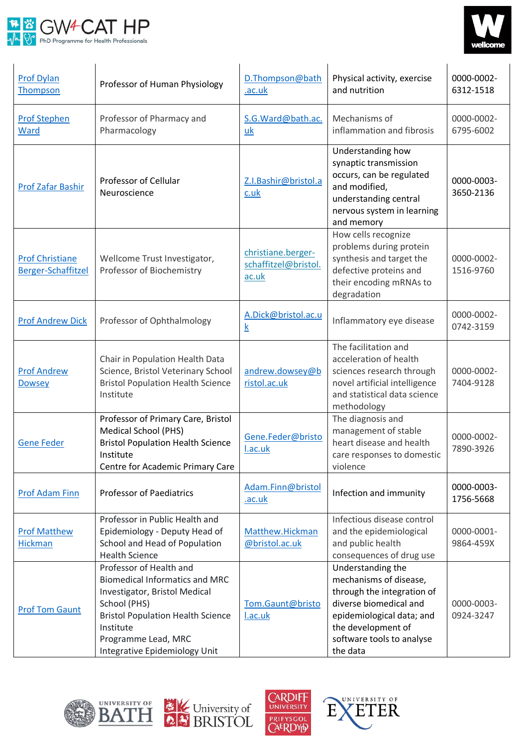



| <b>Prof Dylan</b><br>Thompson                | Professor of Human Physiology                                                                                                                                                                                                      | D.Thompson@bath<br>.ac.uk                           | Physical activity, exercise<br>and nutrition                                                                                                                                                    | 0000-0002-<br>6312-1518 |
|----------------------------------------------|------------------------------------------------------------------------------------------------------------------------------------------------------------------------------------------------------------------------------------|-----------------------------------------------------|-------------------------------------------------------------------------------------------------------------------------------------------------------------------------------------------------|-------------------------|
| <b>Prof Stephen</b><br>Ward                  | Professor of Pharmacy and<br>Pharmacology                                                                                                                                                                                          | S.G.Ward@bath.ac.<br>uk                             | Mechanisms of<br>inflammation and fibrosis                                                                                                                                                      | 0000-0002-<br>6795-6002 |
| Prof Zafar Bashir                            | Professor of Cellular<br>Neuroscience                                                                                                                                                                                              | Z.I.Bashir@bristol.a<br>c.uk                        | Understanding how<br>synaptic transmission<br>occurs, can be regulated<br>and modified,<br>understanding central<br>nervous system in learning<br>and memory                                    | 0000-0003-<br>3650-2136 |
| <b>Prof Christiane</b><br>Berger-Schaffitzel | Wellcome Trust Investigator,<br>Professor of Biochemistry                                                                                                                                                                          | christiane.berger-<br>schaffitzel@bristol.<br>ac.uk | How cells recognize<br>problems during protein<br>synthesis and target the<br>defective proteins and<br>their encoding mRNAs to<br>degradation                                                  | 0000-0002-<br>1516-9760 |
| <b>Prof Andrew Dick</b>                      | Professor of Ophthalmology                                                                                                                                                                                                         | A.Dick@bristol.ac.u<br>k                            | Inflammatory eye disease                                                                                                                                                                        | 0000-0002-<br>0742-3159 |
| <b>Prof Andrew</b><br><b>Dowsey</b>          | Chair in Population Health Data<br>Science, Bristol Veterinary School<br><b>Bristol Population Health Science</b><br>Institute                                                                                                     | andrew.dowsey@b<br>ristol.ac.uk                     | The facilitation and<br>acceleration of health<br>sciences research through<br>novel artificial intelligence<br>and statistical data science<br>methodology                                     | 0000-0002-<br>7404-9128 |
| <b>Gene Feder</b>                            | Professor of Primary Care, Bristol<br><b>Medical School (PHS)</b><br><b>Bristol Population Health Science</b><br>Institute<br>Centre for Academic Primary Care                                                                     | Gene.Feder@bristo<br>I.ac.uk                        | The diagnosis and<br>management of stable<br>heart disease and health<br>care responses to domestic<br>violence                                                                                 | 0000-0002-<br>7890-3926 |
| <b>Prof Adam Finn</b>                        | <b>Professor of Paediatrics</b>                                                                                                                                                                                                    | Adam.Finn@bristol<br>.ac.uk                         | Infection and immunity                                                                                                                                                                          | 0000-0003-<br>1756-5668 |
| <b>Prof Matthew</b><br><b>Hickman</b>        | Professor in Public Health and<br>Epidemiology - Deputy Head of<br>School and Head of Population<br><b>Health Science</b>                                                                                                          | Matthew.Hickman<br>@bristol.ac.uk                   | Infectious disease control<br>and the epidemiological<br>and public health<br>consequences of drug use                                                                                          | 0000-0001-<br>9864-459X |
| <b>Prof Tom Gaunt</b>                        | Professor of Health and<br><b>Biomedical Informatics and MRC</b><br>Investigator, Bristol Medical<br>School (PHS)<br><b>Bristol Population Health Science</b><br>Institute<br>Programme Lead, MRC<br>Integrative Epidemiology Unit | Tom.Gaunt@bristo<br>l.ac.uk                         | Understanding the<br>mechanisms of disease,<br>through the integration of<br>diverse biomedical and<br>epidemiological data; and<br>the development of<br>software tools to analyse<br>the data | 0000-0003-<br>0924-3247 |







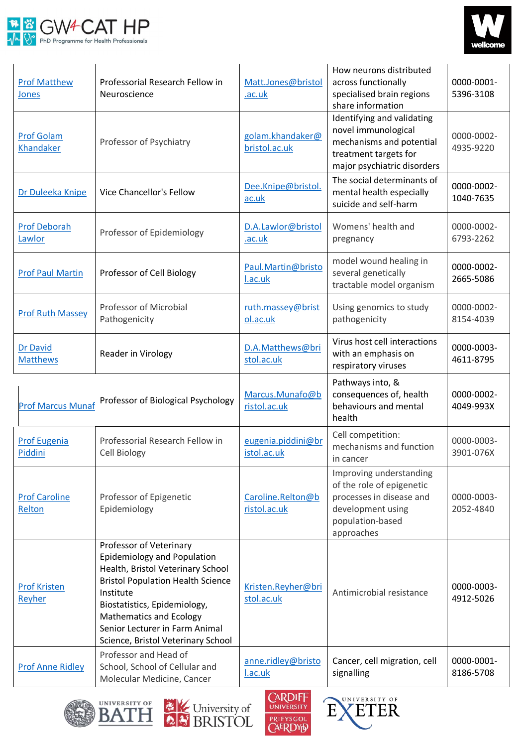



| <b>Prof Matthew</b><br>Jones       | Professorial Research Fellow in<br>Neuroscience                                                                                                                                                                                                                                                       | Matt.Jones@bristol<br>.ac.uk      | How neurons distributed<br>across functionally<br>specialised brain regions<br>share information                                        | 0000-0001-<br>5396-3108 |
|------------------------------------|-------------------------------------------------------------------------------------------------------------------------------------------------------------------------------------------------------------------------------------------------------------------------------------------------------|-----------------------------------|-----------------------------------------------------------------------------------------------------------------------------------------|-------------------------|
| <b>Prof Golam</b><br>Khandaker     | Professor of Psychiatry                                                                                                                                                                                                                                                                               | golam.khandaker@<br>bristol.ac.uk | Identifying and validating<br>novel immunological<br>mechanisms and potential<br>treatment targets for<br>major psychiatric disorders   | 0000-0002-<br>4935-9220 |
| Dr Duleeka Knipe                   | <b>Vice Chancellor's Fellow</b>                                                                                                                                                                                                                                                                       | Dee.Knipe@bristol.<br>ac.uk       | The social determinants of<br>mental health especially<br>suicide and self-harm                                                         | 0000-0002-<br>1040-7635 |
| <b>Prof Deborah</b><br>Lawlor      | Professor of Epidemiology                                                                                                                                                                                                                                                                             | D.A.Lawlor@bristol<br>.ac.uk      | Womens' health and<br>pregnancy                                                                                                         | 0000-0002-<br>6793-2262 |
| <b>Prof Paul Martin</b>            | Professor of Cell Biology                                                                                                                                                                                                                                                                             | Paul.Martin@bristo<br>I.ac.uk     | model wound healing in<br>several genetically<br>tractable model organism                                                               | 0000-0002-<br>2665-5086 |
| <b>Prof Ruth Massey</b>            | Professor of Microbial<br>Pathogenicity                                                                                                                                                                                                                                                               | ruth.massey@brist<br>ol.ac.uk     | Using genomics to study<br>pathogenicity                                                                                                | 0000-0002-<br>8154-4039 |
| <b>Dr David</b><br><b>Matthews</b> | Reader in Virology                                                                                                                                                                                                                                                                                    | D.A.Matthews@bri<br>stol.ac.uk    | Virus host cell interactions<br>with an emphasis on<br>respiratory viruses                                                              | 0000-0003-<br>4611-8795 |
| <b>Prof Marcus Munaf</b>           | Professor of Biological Psychology                                                                                                                                                                                                                                                                    | Marcus.Munafo@b<br>ristol.ac.uk   | Pathways into, &<br>consequences of, health<br>behaviours and mental<br>health                                                          | 0000-0002-<br>4049-993X |
| <b>Prof Eugenia</b><br>Piddini     | Professorial Research Fellow in<br>Cell Biology                                                                                                                                                                                                                                                       | eugenia.piddini@br<br>istol.ac.uk | Cell competition:<br>mechanisms and function<br>in cancer                                                                               | 0000-0003-<br>3901-076X |
| <b>Prof Caroline</b><br>Relton     | Professor of Epigenetic<br>Epidemiology                                                                                                                                                                                                                                                               | Caroline.Relton@b<br>ristol.ac.uk | Improving understanding<br>of the role of epigenetic<br>processes in disease and<br>development using<br>population-based<br>approaches | 0000-0003-<br>2052-4840 |
| <b>Prof Kristen</b><br>Reyher      | Professor of Veterinary<br><b>Epidemiology and Population</b><br>Health, Bristol Veterinary School<br><b>Bristol Population Health Science</b><br>Institute<br>Biostatistics, Epidemiology,<br><b>Mathematics and Ecology</b><br>Senior Lecturer in Farm Animal<br>Science, Bristol Veterinary School | Kristen.Reyher@bri<br>stol.ac.uk  | Antimicrobial resistance                                                                                                                | 0000-0003-<br>4912-5026 |
| <b>Prof Anne Ridley</b>            | Professor and Head of<br>School, School of Cellular and<br>Molecular Medicine, Cancer                                                                                                                                                                                                                 | anne.ridley@bristo<br>l.ac.uk     | Cancer, cell migration, cell<br>signalling                                                                                              | 0000-0001-<br>8186-5708 |







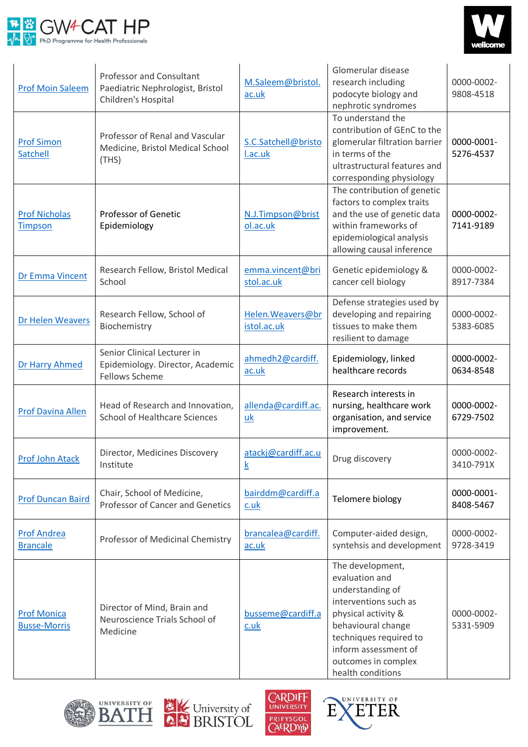



| <b>Prof Moin Saleem</b>                   | <b>Professor and Consultant</b><br>Paediatric Nephrologist, Bristol<br>Children's Hospital | M.Saleem@bristol.<br>ac.uk       | Glomerular disease<br>research including<br>podocyte biology and<br>nephrotic syndromes                                                                                                                                    | 0000-0002-<br>9808-4518 |
|-------------------------------------------|--------------------------------------------------------------------------------------------|----------------------------------|----------------------------------------------------------------------------------------------------------------------------------------------------------------------------------------------------------------------------|-------------------------|
| <b>Prof Simon</b><br><b>Satchell</b>      | Professor of Renal and Vascular<br>Medicine, Bristol Medical School<br>(THS)               | S.C.Satchell@bristo<br>I.ac.uk   | To understand the<br>contribution of GEnC to the<br>glomerular filtration barrier<br>in terms of the<br>ultrastructural features and<br>corresponding physiology                                                           | 0000-0001-<br>5276-4537 |
| <b>Prof Nicholas</b><br><b>Timpson</b>    | <b>Professor of Genetic</b><br>Epidemiology                                                | N.J.Timpson@brist<br>ol.ac.uk    | The contribution of genetic<br>factors to complex traits<br>and the use of genetic data<br>within frameworks of<br>epidemiological analysis<br>allowing causal inference                                                   | 0000-0002-<br>7141-9189 |
| Dr Emma Vincent                           | Research Fellow, Bristol Medical<br>School                                                 | emma.vincent@bri<br>stol.ac.uk   | Genetic epidemiology &<br>cancer cell biology                                                                                                                                                                              | 0000-0002-<br>8917-7384 |
| Dr Helen Weavers                          | Research Fellow, School of<br>Biochemistry                                                 | Helen. Weavers@br<br>istol.ac.uk | Defense strategies used by<br>developing and repairing<br>tissues to make them<br>resilient to damage                                                                                                                      | 0000-0002-<br>5383-6085 |
| Dr Harry Ahmed                            | Senior Clinical Lecturer in<br>Epidemiology. Director, Academic<br><b>Fellows Scheme</b>   | ahmedh2@cardiff.<br>ac.uk        | Epidemiology, linked<br>healthcare records                                                                                                                                                                                 | 0000-0002-<br>0634-8548 |
| <b>Prof Davina Allen</b>                  | Head of Research and Innovation,<br><b>School of Healthcare Sciences</b>                   | allenda@cardiff.ac.<br>uk        | Research interests in<br>nursing, healthcare work<br>organisation, and service<br>improvement.                                                                                                                             | 0000-0002-<br>6729-7502 |
| Prof John Atack                           | Director, Medicines Discovery<br>Institute                                                 | atackj@cardiff.ac.u<br><u>k</u>  | Drug discovery                                                                                                                                                                                                             | 0000-0002-<br>3410-791X |
| <b>Prof Duncan Baird</b>                  | Chair, School of Medicine,<br>Professor of Cancer and Genetics                             | bairddm@cardiff.a<br>c.uk        | Telomere biology                                                                                                                                                                                                           | 0000-0001-<br>8408-5467 |
| <b>Prof Andrea</b><br><b>Brancale</b>     | Professor of Medicinal Chemistry                                                           | brancalea@cardiff.<br>ac.uk      | Computer-aided design,<br>syntehsis and development                                                                                                                                                                        | 0000-0002-<br>9728-3419 |
| <b>Prof Monica</b><br><b>Busse-Morris</b> | Director of Mind, Brain and<br>Neuroscience Trials School of<br>Medicine                   | busseme@cardiff.a<br>$c.$ uk     | The development,<br>evaluation and<br>understanding of<br>interventions such as<br>physical activity &<br>behavioural change<br>techniques required to<br>inform assessment of<br>outcomes in complex<br>health conditions | 0000-0002-<br>5331-5909 |







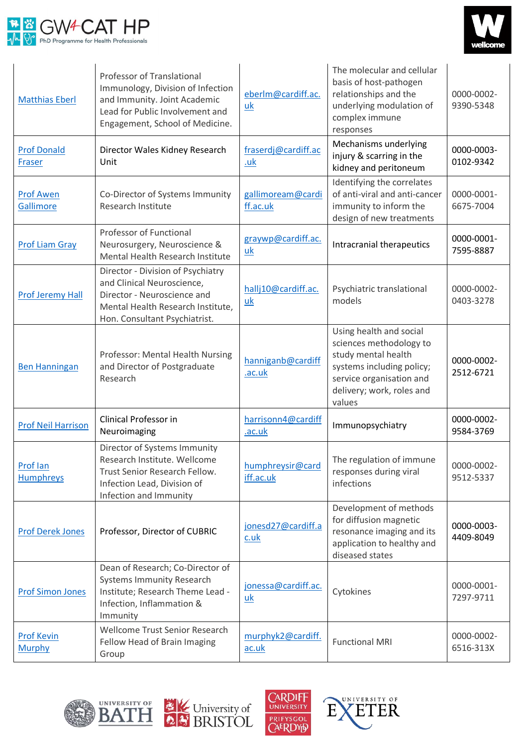



| <b>Matthias Eberl</b>                | Professor of Translational<br>Immunology, Division of Infection<br>and Immunity. Joint Academic<br>Lead for Public Involvement and<br>Engagement, School of Medicine. | eberlm@cardiff.ac.<br>uk      | The molecular and cellular<br>basis of host-pathogen<br>relationships and the<br>underlying modulation of<br>complex immune<br>responses                                  | 0000-0002-<br>9390-5348 |
|--------------------------------------|-----------------------------------------------------------------------------------------------------------------------------------------------------------------------|-------------------------------|---------------------------------------------------------------------------------------------------------------------------------------------------------------------------|-------------------------|
| <b>Prof Donald</b><br>Fraser         | Director Wales Kidney Research<br>Unit                                                                                                                                | fraserdj@cardiff.ac<br>.uk    | Mechanisms underlying<br>injury & scarring in the<br>kidney and peritoneum                                                                                                | 0000-0003-<br>0102-9342 |
| <b>Prof Awen</b><br><b>Gallimore</b> | Co-Director of Systems Immunity<br>Research Institute                                                                                                                 | gallimoream@cardi<br>ff.ac.uk | Identifying the correlates<br>of anti-viral and anti-cancer<br>immunity to inform the<br>design of new treatments                                                         | 0000-0001-<br>6675-7004 |
| <b>Prof Liam Gray</b>                | Professor of Functional<br>Neurosurgery, Neuroscience &<br>Mental Health Research Institute                                                                           | graywp@cardiff.ac.<br>uk      | Intracranial therapeutics                                                                                                                                                 | 0000-0001-<br>7595-8887 |
| <b>Prof Jeremy Hall</b>              | Director - Division of Psychiatry<br>and Clinical Neuroscience,<br>Director - Neuroscience and<br>Mental Health Research Institute,<br>Hon. Consultant Psychiatrist.  | hallj10@cardiff.ac.<br>uk     | Psychiatric translational<br>models                                                                                                                                       | 0000-0002-<br>0403-3278 |
| <b>Ben Hanningan</b>                 | Professor: Mental Health Nursing<br>and Director of Postgraduate<br>Research                                                                                          | hanniganb@cardiff<br>.ac.uk   | Using health and social<br>sciences methodology to<br>study mental health<br>systems including policy;<br>service organisation and<br>delivery; work, roles and<br>values | 0000-0002-<br>2512-6721 |
| <b>Prof Neil Harrison</b>            | Clinical Professor in<br>Neuroimaging                                                                                                                                 | harrisonn4@cardiff<br>.ac.uk  | Immunopsychiatry                                                                                                                                                          | 0000-0002-<br>9584-3769 |
| Prof lan<br>Humphreys                | Director of Systems Immunity<br>Research Institute. Wellcome<br>Trust Senior Research Fellow.<br>Infection Lead, Division of<br>Infection and Immunity                | humphreysir@card<br>iff.ac.uk | The regulation of immune<br>responses during viral<br>infections                                                                                                          | 0000-0002-<br>9512-5337 |
| <b>Prof Derek Jones</b>              | Professor, Director of CUBRIC                                                                                                                                         | jonesd27@cardiff.a<br>c.uk    | Development of methods<br>for diffusion magnetic<br>resonance imaging and its<br>application to healthy and<br>diseased states                                            | 0000-0003-<br>4409-8049 |
| <b>Prof Simon Jones</b>              | Dean of Research; Co-Director of<br><b>Systems Immunity Research</b><br>Institute; Research Theme Lead -<br>Infection, Inflammation &<br>Immunity                     | jonessa@cardiff.ac.<br>uk     | Cytokines                                                                                                                                                                 | 0000-0001-<br>7297-9711 |
| <b>Prof Kevin</b><br><b>Murphy</b>   | Wellcome Trust Senior Research<br>Fellow Head of Brain Imaging<br>Group                                                                                               | murphyk2@cardiff.<br>ac.uk    | <b>Functional MRI</b>                                                                                                                                                     | 0000-0002-<br>6516-313X |







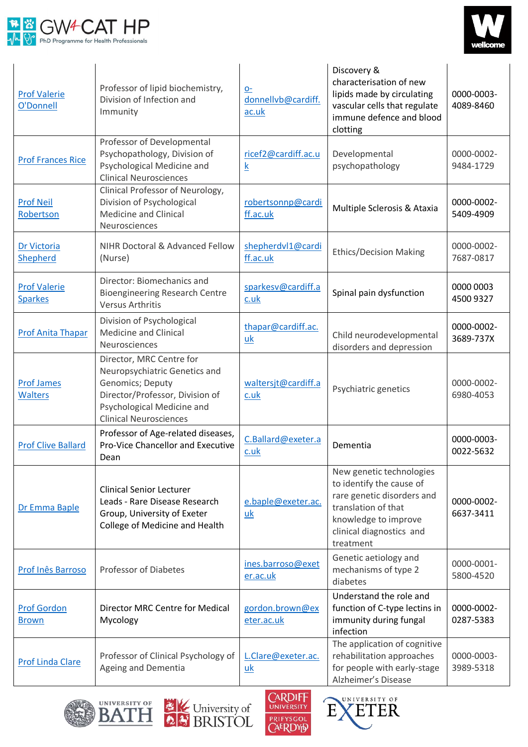



| <b>Prof Valerie</b><br>O'Donnell      | Professor of lipid biochemistry,<br>Division of Infection and<br>Immunity                                                                                                       | $Q-$<br>donnellvb@cardiff.<br>ac.uk | Discovery &<br>characterisation of new<br>lipids made by circulating<br>vascular cells that regulate<br>immune defence and blood<br>clotting                               | 0000-0003-<br>4089-8460 |
|---------------------------------------|---------------------------------------------------------------------------------------------------------------------------------------------------------------------------------|-------------------------------------|----------------------------------------------------------------------------------------------------------------------------------------------------------------------------|-------------------------|
| <b>Prof Frances Rice</b>              | Professor of Developmental<br>Psychopathology, Division of<br>Psychological Medicine and<br><b>Clinical Neurosciences</b>                                                       | ricef2@cardiff.ac.u<br>k            | Developmental<br>psychopathology                                                                                                                                           | 0000-0002-<br>9484-1729 |
| <b>Prof Neil</b><br>Robertson         | Clinical Professor of Neurology,<br>Division of Psychological<br><b>Medicine and Clinical</b><br>Neurosciences                                                                  | robertsonnp@cardi<br>ff.ac.uk       | Multiple Sclerosis & Ataxia                                                                                                                                                | 0000-0002-<br>5409-4909 |
| Dr Victoria<br>Shepherd               | NIHR Doctoral & Advanced Fellow<br>(Nurse)                                                                                                                                      | shepherdvl1@cardi<br>ff.ac.uk       | <b>Ethics/Decision Making</b>                                                                                                                                              | 0000-0002-<br>7687-0817 |
| <b>Prof Valerie</b><br><b>Sparkes</b> | Director: Biomechanics and<br><b>Bioengineering Research Centre</b><br><b>Versus Arthritis</b>                                                                                  | sparkesv@cardiff.a<br>$c.$ uk       | Spinal pain dysfunction                                                                                                                                                    | 0000 0003<br>4500 9327  |
| <b>Prof Anita Thapar</b>              | Division of Psychological<br><b>Medicine and Clinical</b><br>Neurosciences                                                                                                      | thapar@cardiff.ac.<br>uk            | Child neurodevelopmental<br>disorders and depression                                                                                                                       | 0000-0002-<br>3689-737X |
| <b>Prof James</b><br><b>Walters</b>   | Director, MRC Centre for<br>Neuropsychiatric Genetics and<br>Genomics; Deputy<br>Director/Professor, Division of<br>Psychological Medicine and<br><b>Clinical Neurosciences</b> | waltersjt@cardiff.a<br>c.uk         | Psychiatric genetics                                                                                                                                                       | 0000-0002-<br>6980-4053 |
| <b>Prof Clive Ballard</b>             | Professor of Age-related diseases,<br><b>Pro-Vice Chancellor and Executive</b><br>Dean                                                                                          | C.Ballard@exeter.a<br>c.uk          | Dementia                                                                                                                                                                   | 0000-0003-<br>0022-5632 |
| Dr Emma Baple                         | <b>Clinical Senior Lecturer</b><br>Leads - Rare Disease Research<br>Group, University of Exeter<br>College of Medicine and Health                                               | e.baple@exeter.ac.<br>uk            | New genetic technologies<br>to identify the cause of<br>rare genetic disorders and<br>translation of that<br>knowledge to improve<br>clinical diagnostics and<br>treatment | 0000-0002-<br>6637-3411 |
| Prof Inês Barroso                     | Professor of Diabetes                                                                                                                                                           | ines.barroso@exet<br>er.ac.uk       | Genetic aetiology and<br>mechanisms of type 2<br>diabetes                                                                                                                  | 0000-0001-<br>5800-4520 |
| <b>Prof Gordon</b><br><b>Brown</b>    | Director MRC Centre for Medical<br>Mycology                                                                                                                                     | gordon.brown@ex<br>eter.ac.uk       | Understand the role and<br>function of C-type lectins in<br>immunity during fungal<br>infection                                                                            | 0000-0002-<br>0287-5383 |
| <b>Prof Linda Clare</b>               | Professor of Clinical Psychology of<br>Ageing and Dementia                                                                                                                      | L.Clare@exeter.ac.<br>uk            | The application of cognitive<br>rehabilitation approaches<br>for people with early-stage<br>Alzheimer's Disease                                                            | 0000-0003-<br>3989-5318 |







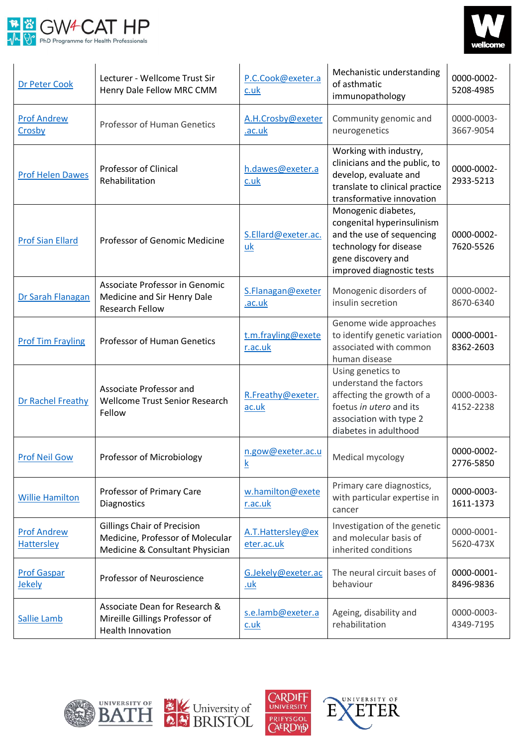



| Dr Peter Cook                           | Lecturer - Wellcome Trust Sir<br>Henry Dale Fellow MRC CMM                                                | P.C.Cook@exeter.a<br>c.uk        | Mechanistic understanding<br>of asthmatic<br>immunopathology                                                                                                | 0000-0002-<br>5208-4985 |
|-----------------------------------------|-----------------------------------------------------------------------------------------------------------|----------------------------------|-------------------------------------------------------------------------------------------------------------------------------------------------------------|-------------------------|
| <b>Prof Andrew</b><br>Crosby            | Professor of Human Genetics                                                                               | A.H.Crosby@exeter<br>.ac.uk      | Community genomic and<br>neurogenetics                                                                                                                      | 0000-0003-<br>3667-9054 |
| <b>Prof Helen Dawes</b>                 | Professor of Clinical<br>Rehabilitation                                                                   | h.dawes@exeter.a<br>c.uk         | Working with industry,<br>clinicians and the public, to<br>develop, evaluate and<br>translate to clinical practice<br>transformative innovation             | 0000-0002-<br>2933-5213 |
| <b>Prof Sian Ellard</b>                 | Professor of Genomic Medicine                                                                             | S.Ellard@exeter.ac.<br>uk        | Monogenic diabetes,<br>congenital hyperinsulinism<br>and the use of sequencing<br>technology for disease<br>gene discovery and<br>improved diagnostic tests | 0000-0002-<br>7620-5526 |
| Dr Sarah Flanagan                       | Associate Professor in Genomic<br>Medicine and Sir Henry Dale<br><b>Research Fellow</b>                   | S.Flanagan@exeter<br>.ac.uk      | Monogenic disorders of<br>insulin secretion                                                                                                                 | 0000-0002-<br>8670-6340 |
| <b>Prof Tim Frayling</b>                | <b>Professor of Human Genetics</b>                                                                        | t.m.frayling@exete<br>r.ac.uk    | Genome wide approaches<br>to identify genetic variation<br>associated with common<br>human disease                                                          | 0000-0001-<br>8362-2603 |
| Dr Rachel Freathy                       | Associate Professor and<br><b>Wellcome Trust Senior Research</b><br>Fellow                                | R.Freathy@exeter.<br>ac.uk       | Using genetics to<br>understand the factors<br>affecting the growth of a<br>foetus in utero and its<br>association with type 2<br>diabetes in adulthood     | 0000-0003-<br>4152-2238 |
| <b>Prof Neil Gow</b>                    | Professor of Microbiology                                                                                 | n.gow@exeter.ac.u<br>K           | Medical mycology                                                                                                                                            | 0000-0002-<br>2776-5850 |
| <b>Willie Hamilton</b>                  | Professor of Primary Care<br>Diagnostics                                                                  | w.hamilton@exete<br>r.ac.uk      | Primary care diagnostics,<br>with particular expertise in<br>cancer                                                                                         | 0000-0003-<br>1611-1373 |
| <b>Prof Andrew</b><br><b>Hattersley</b> | <b>Gillings Chair of Precision</b><br>Medicine, Professor of Molecular<br>Medicine & Consultant Physician | A.T.Hattersley@ex<br>eter.ac.uk  | Investigation of the genetic<br>and molecular basis of<br>inherited conditions                                                                              | 0000-0001-<br>5620-473X |
| <b>Prof Gaspar</b><br>Jekely            | Professor of Neuroscience                                                                                 | G.Jekely@exeter.ac<br><u>.uk</u> | The neural circuit bases of<br>behaviour                                                                                                                    | 0000-0001-<br>8496-9836 |
| Sallie Lamb                             | Associate Dean for Research &<br>Mireille Gillings Professor of<br><b>Health Innovation</b>               | s.e.lamb@exeter.a<br>c.uk        | Ageing, disability and<br>rehabilitation                                                                                                                    | 0000-0003-<br>4349-7195 |